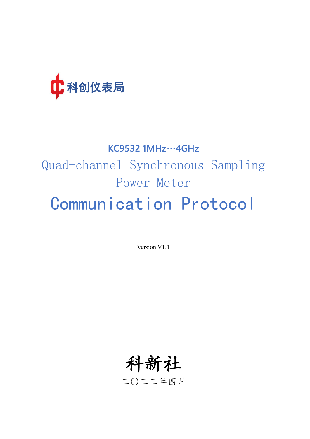

# **KC9532 1MHz**…**4GHz** Quad-channel Synchronous Sampling Power Meter Communication Protocol

Version V1.1

科新社 二〇二二年四月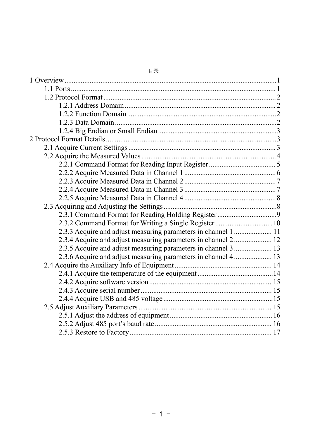| 2.3.2 Command Format for Writing a Single Register 10          |  |
|----------------------------------------------------------------|--|
| 2.3.3 Acquire and adjust measuring parameters in channel 1  11 |  |
| 2.3.4 Acquire and adjust measuring parameters in channel 2 12  |  |
| 2.3.5 Acquire and adjust measuring parameters in channel 3  13 |  |
| 2.3.6 Acquire and adjust measuring parameters in channel 4 13  |  |
|                                                                |  |
|                                                                |  |
|                                                                |  |
|                                                                |  |
|                                                                |  |
|                                                                |  |
|                                                                |  |
|                                                                |  |
|                                                                |  |

#### 目录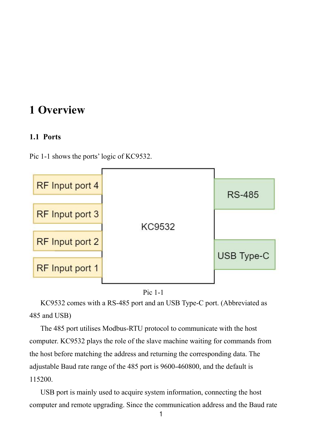# <span id="page-2-0"></span>**1 Overview**

#### <span id="page-2-1"></span>**1.1 Ports**

Pic 1-1 shows the ports' logic of KC9532.





KC9532 comes with a RS-485 port and an USB Type-C port. (Abbreviated as 485 and USB)

The 485 port utilises Modbus-RTU protocol to communicate with the host computer. KC9532 plays the role of the slave machine waiting for commands from the host before matching the address and returning the corresponding data. The adjustable Baud rate range of the 485 port is 9600-460800, and the default is 115200.

USB port is mainly used to acquire system information, connecting the host computer and remote upgrading. Since the communication address and the Baud rate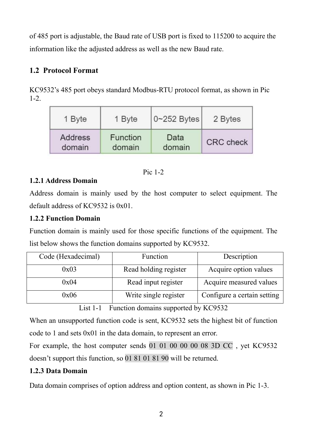of 485 port is adjustable, the Baud rate of USB port is fixed to 115200 to acquire the information like the adjusted address as well as the new Baud rate.

# <span id="page-3-0"></span>**1.2 Protocol Format**

KC9532's 485 port obeys standard Modbus-RTU protocol format, as shown in Pic 1-2.

| 1 Byte  | 1 Byte   | $ 0 - 252$ Bytes | 2 Bytes          |
|---------|----------|------------------|------------------|
| Address | Function | Data             | <b>CRC</b> check |
| domain  | domain   | domain           |                  |

#### Pic 1-2

#### <span id="page-3-1"></span>**1.2.1 Address Domain**

Address domain is mainly used by the host computer to select equipment. The default address of  $KC9532$  is  $0x01$ .

#### <span id="page-3-2"></span>**1.2.2 Function Domain**

Function domain is mainly used for those specific functions of the equipment. The list below shows the function domains supported by KC9532.

| Code (Hexadecimal) | Function              | Description                 |
|--------------------|-----------------------|-----------------------------|
| 0x03               | Read holding register | Acquire option values       |
| 0x04               | Read input register   | Acquire measured values     |
| 0x06               | Write single register | Configure a certain setting |

List 1-1 Function domains supported by KC9532

When an unsupported function code is sent, KC9532 sets the highest bit of function code to 1 and sets 0x01 in the data domain, to represent an error.

For example, the host computer sends 01 01 00 00 00 08 3D CC , yet KC9532 doesn't support this function, so 01 81 01 81 90 will be returned.

# <span id="page-3-3"></span>**1.2.3 Data Domain**

Data domain comprises of option address and option content, as shown in Pic 1-3.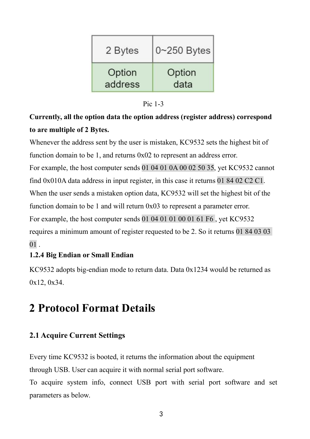| 2 Bytes | $0\nightharpoonup$ 250 Bytes |
|---------|------------------------------|
| Option  | Option                       |
| address | data                         |

| Pic $1-3$ |  |  |
|-----------|--|--|
|           |  |  |

# **Currently, all the option data the option address (register address) correspond to are multiple of 2 Bytes.**

Whenever the address sent by the user is mistaken, KC9532 sets the highest bit of function domain to be 1, and returns 0x02 to represent an address error. For example, the host computer sends 01 04 01 0A 00 02 50 35, yet KC9532 cannot find 0x010A data address in input register, in this case it returns 01 84 02 C2 C1. When the user sends a mistaken option data, KC9532 will set the highest bit of the function domain to be 1 and will return 0x03 to represent a parameter error. For example, the host computer sends 01 04 01 01 00 01 61 F6 , yet KC9532 requires a minimum amount of register requested to be 2. So it returns 01 84 03 03  $01$ .

# <span id="page-4-0"></span>**1.2.4 Big Endian or Small Endian**

KC9532 adopts big-endian mode to return data. Data 0x1234 would be returned as 0x12, 0x34.

# <span id="page-4-1"></span>**2 Protocol Format Details**

# <span id="page-4-2"></span>**2.1 Acquire Current Settings**

Every time KC9532 is booted, it returns the information about the equipment through USB. User can acquire it with normal serial port software.

To acquire system info, connect USB port with serial port software and set parameters as below.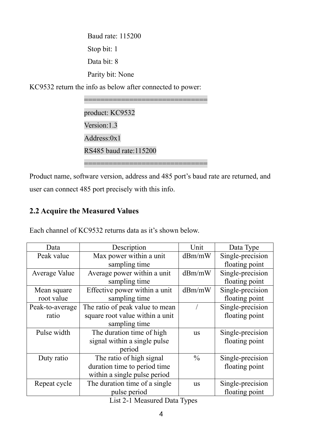Baud rate: 115200 Stop bit: 1 Data bit: 8 Parity bit: None

KC9532 return the info as below after connected to power:

============================== product: KC9532 Version:1.3 Address:0x1 RS485 baud rate:115200 ==============================

Product name, software version, address and 485 port's baud rate are returned, and user can connect 485 port precisely with this info.

# <span id="page-5-0"></span>**2.2 Acquire the Measured Values**

Each channel of KC9532 returns data as it's shown below.

| Data            | Description                     | Unit          | Data Type        |
|-----------------|---------------------------------|---------------|------------------|
| Peak value      | Max power within a unit         | dBm/mW        | Single-precision |
|                 | sampling time                   |               | floating point   |
| Average Value   | Average power within a unit     | dBm/mW        | Single-precision |
|                 | sampling time                   |               | floating point   |
| Mean square     | Effective power within a unit   | dBm/mW        | Single-precision |
| root value      | sampling time                   |               | floating point   |
| Peak-to-average | The ratio of peak value to mean |               | Single-precision |
| ratio           | square root value within a unit |               | floating point   |
|                 | sampling time                   |               |                  |
| Pulse width     | The duration time of high       | <b>us</b>     | Single-precision |
|                 | signal within a single pulse    |               | floating point   |
|                 | period                          |               |                  |
| Duty ratio      | The ratio of high signal        | $\frac{0}{0}$ | Single-precision |
|                 | duration time to period time    |               | floating point   |
|                 | within a single pulse period    |               |                  |
| Repeat cycle    | The duration time of a single   | us            | Single-precision |
|                 | pulse period                    |               | floating point   |

List 2-1 Measured Data Types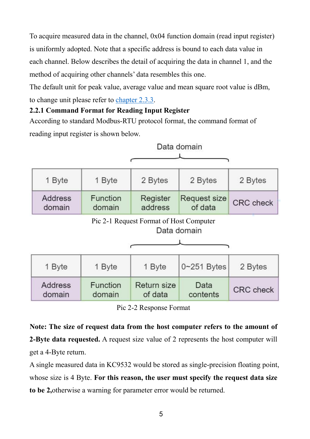To acquire measured data in the channel, 0x04 function domain (read input register) is uniformly adopted. Note that a specific address is bound to each data value in each channel. Below describes the detail of acquiring the data in channel 1, and the method of acquiring other channels' data resembles this one.

The default unit for peak value, average value and mean square root value is dBm, to change unit please refer to chapter 2.3.3.

# <span id="page-6-0"></span>**2.2.1 Command Format for Reading Input Register**

According to standard Modbus-RTU protocol format, the command format of reading input register is shown below.

|                   |                    |                                         | Data domain             |                  |
|-------------------|--------------------|-----------------------------------------|-------------------------|------------------|
| 1 Byte            | 1 Byte             | 2 Bytes                                 | 2 Bytes                 | 2 Bytes          |
| Address<br>domain | Function<br>domain | Register<br>address                     | Request size<br>of data | <b>CRC</b> check |
|                   |                    | Pic 2-1 Request Format of Host Computer | Data domain             |                  |
| 1 Byte            | 1 Byte             | 1 Byte                                  | $0 - 251$ Bytes         | 2 Bytes          |
| Address<br>domain | Function<br>domain | Return size<br>of data                  | Data<br>contents        | <b>CRC</b> check |

Pic 2-2 Response Format

**Note: The size of request data from the hostcomputer refers to the amount of 2-Byte data requested.** A request size value of 2 represents the host computer will get a 4-Byte return.

A single measured data in KC9532 would be stored as single-precision floating point, whose size is 4 Byte. **For this reason, the user must specify the request data size to be 2,**otherwise a warning for parameter error would be returned.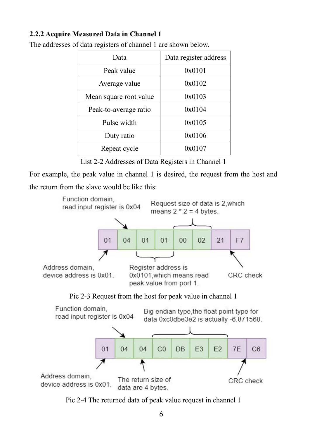# <span id="page-7-0"></span>**2.2.2 Acquire Measured Data in Channel 1**

| Data                   | Data register address |
|------------------------|-----------------------|
| Peak value             | 0x0101                |
| Average value          | 0x0102                |
| Mean square root value | 0x0103                |
| Peak-to-average ratio  | 0x0104                |
| Pulse width            | 0x0105                |
| Duty ratio             | 0x0106                |
| Repeat cycle           | 0x0107                |

The addresses of data registers of channel 1 are shown below.

List 2-2 Addresses of Data Registers in Channel 1

For example, the peak value in channel 1 is desired, the request from the host and the return from the slave would be like this:



Pic 2-3 Request from the host for peak value in channel 1



Pic 2-4 The returned data of peak value request in channel 1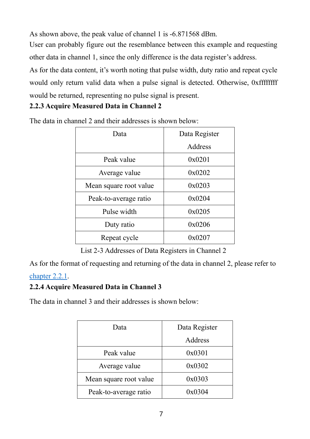As shown above, the peak value of channel 1 is  $-6.871568$  dBm.

User can probably figure out the resemblance between this example and requesting other data in channel 1, since the only difference is the data register's address.

As for the data content, it's worth noting that pulse width, duty ratio and repeat cycle would only return valid data when a pulse signal is detected. Otherwise, 0xffffffff would be returned, representing no pulse signal is present.

# <span id="page-8-0"></span>**2.2.3 Acquire Measured Data in Channel 2**

| Data                   | Data Register |  |
|------------------------|---------------|--|
|                        | Address       |  |
| Peak value             | 0x0201        |  |
| Average value          | 0x0202        |  |
| Mean square root value | 0x0203        |  |
| Peak-to-average ratio  | 0x0204        |  |
| Pulse width            | 0x0205        |  |
| Duty ratio             | 0x0206        |  |
| Repeat cycle           | 0x0207        |  |

The data in channel 2 and their addresses is shown below:

List 2-3 Addresses of Data Registers in Channel 2

As for the format of requesting and returning of the data in channel 2, please refer to

# [chapter](#page-6-0) 2.2.1.

# <span id="page-8-1"></span>**2.2.4 Acquire Measured Data in Channel 3**

The data in channel 3 and their addresses is shown below:

| Data                   | Data Register |
|------------------------|---------------|
|                        | Address       |
| Peak value             | 0x0301        |
| Average value          | 0x0302        |
| Mean square root value | 0x0303        |
| Peak-to-average ratio  | 0x0304        |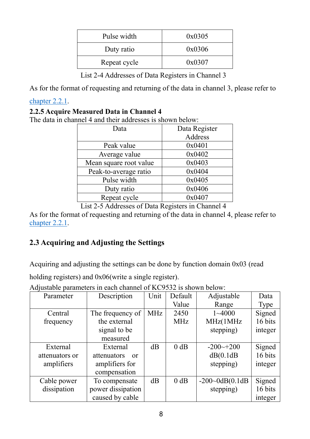| Pulse width  | 0x0305 |
|--------------|--------|
| Duty ratio   | 0x0306 |
| Repeat cycle | 0x0307 |

List 2-4 Addresses of Data Registers in Channel 3

As for the format of requesting and returning of the data in channel 3, please referto

#### [chapter](#page-6-0) 2.2.1.

#### <span id="page-9-0"></span>**2.2.5 Acquire Measured Data in Channel 4**

The data in channel 4 and their addresses is shown below:

| Data                   | Data Register |
|------------------------|---------------|
|                        | Address       |
| Peak value             | 0x0401        |
| Average value          | 0x0402        |
| Mean square root value | 0x0403        |
| Peak-to-average ratio  | 0x0404        |
| Pulse width            | 0x0405        |
| Duty ratio             | 0x0406        |
| Repeat cycle           | 0x0407        |

List 2-5 Addresses of Data Registers in Channel 4

As for the format of requesting and returning of the data in channel 4, please referto [chapter](#page-6-0) 2.2.1.

# <span id="page-9-1"></span>**2.3 Acquiring and Adjusting the Settings**

Acquiring and adjusting the settings can be done by function domain 0x03 (read

holding registers) and  $0x06$  (write a single register).

| Parameter      | Description       | Unit | Default    | Adjustable              | Data    |
|----------------|-------------------|------|------------|-------------------------|---------|
|                |                   |      | Value      | Range                   | Type    |
| Central        | The frequency of  | MHz  | 2450       | $1 - 4000$              | Signed  |
| frequency      | the external      |      | <b>MHz</b> | MHz(1MHz                | 16 bits |
|                | signal to be      |      |            | stepping)               | integer |
|                | measured          |      |            |                         |         |
| External       | External          | dB   | 0 dB       | $-200 \rightarrow 200$  | Signed  |
| attenuators or | attenuators<br>or |      |            | dB(0.1dB)               | 16 bits |
| amplifiers     | amplifiers for    |      |            | stepping)               | integer |
|                | compensation      |      |            |                         |         |
| Cable power    | To compensate     | dB   | 0 dB       | $-200 - 0$ dB $(0.1$ dB | Signed  |
| dissipation    | power dissipation |      |            | stepping)               | 16 bits |
|                | caused by cable   |      |            |                         | integer |

Adjustable parameters in each channel of KC9532 is shown below: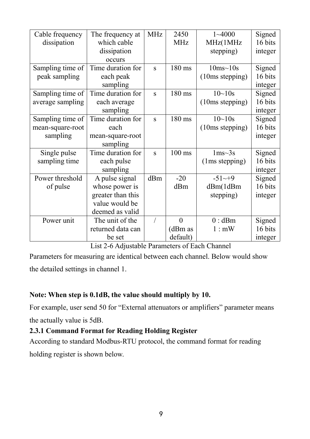| Cable frequency  | The frequency at  | <b>MHz</b> | 2450             | $1 - 4000$        | Signed  |
|------------------|-------------------|------------|------------------|-------------------|---------|
| dissipation      | which cable       |            | <b>MHz</b>       | MHz(1MHz          | 16 bits |
|                  | dissipation       |            |                  | stepping)         | integer |
|                  | occurs            |            |                  |                   |         |
| Sampling time of | Time duration for | S          | 180 ms           | $10ms - 10s$      | Signed  |
| peak sampling    | each peak         |            |                  | (10ms stepping)   | 16 bits |
|                  | sampling          |            |                  |                   | integer |
| Sampling time of | Time duration for | S          | 180 ms           | $10 - 10s$        | Signed  |
| average sampling | each average      |            |                  | $(10ms$ stepping) | 16 bits |
|                  | sampling          |            |                  |                   | integer |
| Sampling time of | Time duration for | S          | 180 ms           | $10 - 10s$        | Signed  |
| mean-square-root | each              |            |                  | (10ms stepping)   | 16 bits |
| sampling         | mean-square-root  |            |                  |                   | integer |
|                  | sampling          |            |                  |                   |         |
| Single pulse     | Time duration for | S          | $100 \text{ ms}$ | $1ms-3s$          | Signed  |
| sampling time    | each pulse        |            |                  | (1ms stepping)    | 16 bits |
|                  | sampling          |            |                  |                   | integer |
| Power threshold  | A pulse signal    | dBm        | $-20$            | $-51^{-9}$        | Signed  |
| of pulse         | whose power is    |            | dBm              | dBm(1dBm)         | 16 bits |
|                  | greater than this |            |                  | stepping)         | integer |
|                  | value would be    |            |                  |                   |         |
|                  | deemed as valid   |            |                  |                   |         |
| Power unit       | The unit of the   |            | $\overline{0}$   | $0:$ dBm          | Signed  |
|                  | returned data can |            | (dBm as          | 1: mW             | 16 bits |
|                  | be set            |            | default)         |                   | integer |

List 2-6 Adjustable Parameters of Each Channel

Parameters for measuring are identical between each channel. Below would show the detailed settings in channel 1.

#### **Note:** When step is 0.1dB, the value should multiply by 10.

For example, user send 50 for "External attenuators or amplifiers" parameter means the actually value is 5dB.

# <span id="page-10-0"></span>**2.3.1 Command Format for Reading Holding Register**

According to standard Modbus-RTU protocol, the command format for reading holding register is shown below.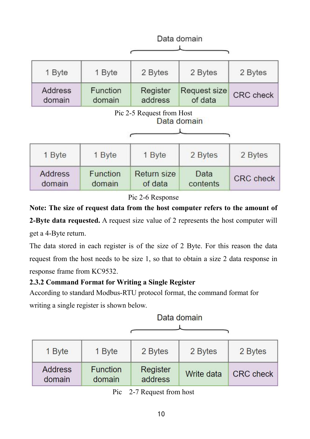|                                          |                    |                               | Data domain             |                  |
|------------------------------------------|--------------------|-------------------------------|-------------------------|------------------|
| 1 Byte                                   | 1 Byte             | 2 Bytes                       | 2 Bytes                 | 2 Bytes          |
| <b>Address</b><br>domain                 | Function<br>domain | Register<br>address           | Request size<br>of data | <b>CRC</b> check |
| Pic 2-5 Request from Host<br>Data domain |                    |                               |                         |                  |
| 1 Byte                                   | 1 Byte             | 1 Byte                        | 2 Bytes                 | 2 Bytes          |
| Address<br>domain                        | Function<br>domain | <b>Return size</b><br>of data | Data<br>contents        | <b>CRC</b> check |

Pic 2-6 Response

**Note: The size of request data from the hostcomputer refers to the amount of**

**2-Byte data requested.** A request size value of 2 represents the host computer will get a 4-Byte return.

The data stored in each register is of the size of 2 Byte. For this reason the data request from the host needs to be size 1, so that to obtain a size 2 data response in response frame from KC9532.

# <span id="page-11-0"></span>**2.3.2 Command Format for Writing a Single Register**

According to standard Modbus-RTU protocol format, the command format for writing a single register is shown below.

| 1 Byte                   | 1 Byte                    | 2 Bytes                    | 2 Bytes    | 2 Bytes          |
|--------------------------|---------------------------|----------------------------|------------|------------------|
| <b>Address</b><br>domain | <b>Function</b><br>domain | <b>Register</b><br>address | Write data | <b>CRC</b> check |

Data domain

Pic 2-7 Request from host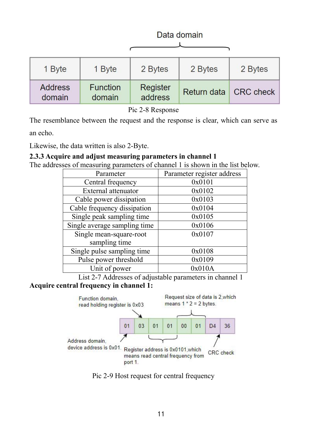|                          |                           |                     | Data domain |                       |
|--------------------------|---------------------------|---------------------|-------------|-----------------------|
| 1 Byte                   | 1 Byte                    | 2 Bytes             | 2 Bytes     | 2 Bytes               |
| <b>Address</b><br>domain | <b>Function</b><br>domain | Register<br>address |             | Return data CRC check |

Pic 2-8 Response

The resemblance between the request and the response is clear, which can serve as

an echo.

Likewise, the data written is also 2-Byte.

#### <span id="page-12-0"></span>**2.3.3 Acquire and adjust measuring parameters in channel 1**

The addresses of measuring parameters of channel 1 is shown in the list below.

| Parameter                    | Parameter register address |
|------------------------------|----------------------------|
| Central frequency            | 0x0101                     |
| External attenuator          | 0x0102                     |
| Cable power dissipation      | 0x0103                     |
| Cable frequency dissipation  | 0x0104                     |
| Single peak sampling time    | 0x0105                     |
| Single average sampling time | 0x0106                     |
| Single mean-square-root      | 0x0107                     |
| sampling time                |                            |
| Single pulse sampling time   | 0x0108                     |
| Pulse power threshold        | 0x0109                     |
| Unit of power                | 0x010A                     |

List 2-7 Addresses of adjustable parameters in channel 1 **Acquire central frequency in channel 1:**



Pic 2-9 Host request for central frequency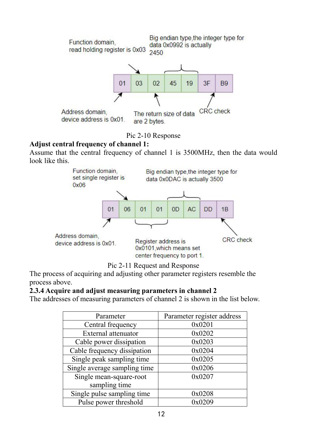

Pic 2-10 Response

#### **Adjust central frequency of channel 1:**

Assume that the central frequency of channel 1 is 3500MHz, then the data would look like this.





The process of acquiring and adjusting other parameter registers resemble the process above.

#### <span id="page-13-0"></span>**2.3.4 Acquire and adjust measuring parameters in channel 2**

The addresses of measuring parameters of channel 2 is shown in the list below.

| Parameter                    | Parameter register address |
|------------------------------|----------------------------|
| Central frequency            | 0x0201                     |
| External attenuator          | 0x0202                     |
| Cable power dissipation      | 0x0203                     |
| Cable frequency dissipation  | 0x0204                     |
| Single peak sampling time    | 0x0205                     |
| Single average sampling time | 0x0206                     |
| Single mean-square-root      | 0x0207                     |
| sampling time                |                            |
| Single pulse sampling time   | 0x0208                     |
| Pulse power threshold        | 0x0209                     |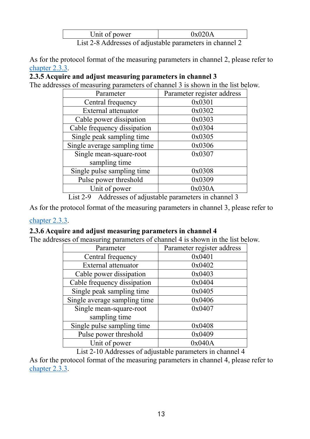| Unit of power                                            | 0x020A |  |
|----------------------------------------------------------|--------|--|
| List 2-8 Addresses of adjustable parameters in channel 2 |        |  |

As for the protocol format of the measuring parameters in channel 2, please refer to [chapter](#page-12-0) 2.3.3.

# <span id="page-14-0"></span>**2.3.5 Acquire and adjust measuring parameters in channel 3**

The addresses of measuring parameters of channel 3 is shown in the list below.

| Parameter                    | Parameter register address |
|------------------------------|----------------------------|
| Central frequency            | 0x0301                     |
| External attenuator          | 0x0302                     |
| Cable power dissipation      | 0x0303                     |
| Cable frequency dissipation  | 0x0304                     |
| Single peak sampling time    | 0x0305                     |
| Single average sampling time | 0x0306                     |
| Single mean-square-root      | 0x0307                     |
| sampling time                |                            |
| Single pulse sampling time   | 0x0308                     |
| Pulse power threshold        | 0x0309                     |
| Unit of power                | 0x030A                     |

List 2-9 Addresses of adjustable parameters in channel 3

As for the protocol format of the measuring parameters in channel 3, please refer to

#### [chapter](#page-12-0) 2.3.3.

#### <span id="page-14-1"></span>**2.3.6 Acquire and adjust measuring parameters in channel 4**

The addresses of measuring parameters of channel 4 is shown in the list below.

| Parameter                    | Parameter register address |
|------------------------------|----------------------------|
| Central frequency            | 0x0401                     |
| External attenuator          | 0x0402                     |
| Cable power dissipation      | 0x0403                     |
| Cable frequency dissipation  | 0x0404                     |
| Single peak sampling time    | 0x0405                     |
| Single average sampling time | 0x0406                     |
| Single mean-square-root      | 0x0407                     |
| sampling time                |                            |
| Single pulse sampling time   | 0x0408                     |
| Pulse power threshold        | 0x0409                     |
| Unit of power                | 0x040A                     |

List 2-10 Addresses of adjustable parameters in channel 4

As for the protocol format of the measuring parameters in channel 4, please refer to [chapter](#page-12-0) 2.3.3.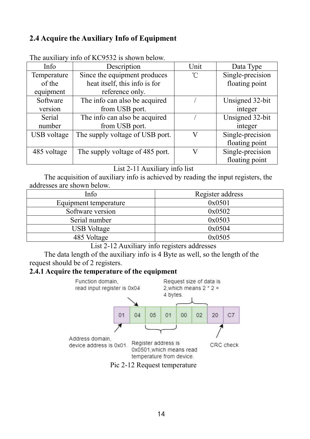# <span id="page-15-0"></span>**2.4 Acquire the Auxiliary Info of Equipment**

| Info        | Description                     | Unit                | Data Type        |
|-------------|---------------------------------|---------------------|------------------|
| Temperature | Since the equipment produces    | $^{\circ}\!{\rm C}$ | Single-precision |
| of the      | heat itself, this info is for   |                     | floating point   |
| equipment   | reference only.                 |                     |                  |
| Software    | The info can also be acquired   |                     | Unsigned 32-bit  |
| version     | from USB port.                  |                     | integer          |
| Serial      | The info can also be acquired   |                     | Unsigned 32-bit  |
| number      | from USB port.                  |                     | integer          |
| USB voltage | The supply voltage of USB port. | V                   | Single-precision |
|             |                                 |                     | floating point   |
| 485 voltage | The supply voltage of 485 port. | V                   | Single-precision |
|             |                                 |                     | floating point   |

The auxiliary info of KC9532 is shown below.

#### List 2-11 Auxiliary info list

The acquisition of auxiliary info is achieved by reading the input registers, the addresses are shown below.

| Info                  | Register address |
|-----------------------|------------------|
| Equipment temperature | 0x0501           |
| Software version      | 0x0502           |
| Serial number         | 0x0503           |
| <b>USB</b> Voltage    | 0x0504           |
| 485 Voltage           | 0x0505           |

List 2-12 Auxiliary info registers addresses

The data length of the auxiliary info is 4 Byte as well, so the length of the request should be of 2 registers.

#### <span id="page-15-1"></span>**2.4.1 Acquire the temperature of the equipment**



Pic 2-12 Request temperature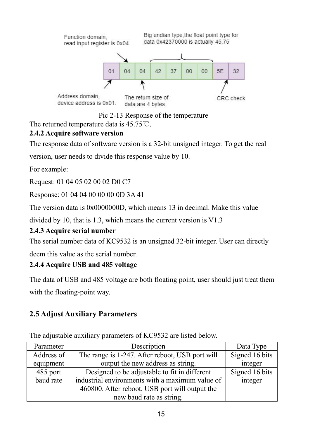

Pic 2-13 Response of the temperature

The returned temperature data is 45.75℃.

# <span id="page-16-0"></span>**2.4.2 Acquire software version**

The response data of software version is a 32-bit unsigned integer. To get the real

version, user needs to divide this response value by 10.

For example:

Request: 01 04 05 02 00 02 D0 C7

Response: 01 04 04 00 00 00 0D 3A 41

The version data is 0x0000000D, which means 13 in decimal. Make this value

divided by 10, that is 1.3, which means the current version is V1.3

# <span id="page-16-1"></span>**2.4.3 Acquire serial number**

The serial number data of KC9532 is an unsigned 32-bit integer. User can directly

deem this value as the serial number.

# <span id="page-16-2"></span>**2.4.4 Acquire USB and 485 voltage**

The data of USB and 485 voltage are both floating point, user should just treat them

with the floating-point way.

# <span id="page-16-3"></span>**2.5 Adjust Auxiliary Parameters**

The adjustable auxiliary parameters of KC9532 are listed below.

| Parameter  | Description                                     | Data Type      |
|------------|-------------------------------------------------|----------------|
| Address of | The range is 1-247. After reboot, USB port will | Signed 16 bits |
| equipment  | output the new address as string.               | integer        |
| 485 port   | Designed to be adjustable to fit in different   | Signed 16 bits |
| baud rate  | industrial environments with a maximum value of | integer        |
|            | 460800. After reboot, USB port will output the  |                |
|            | new baud rate as string.                        |                |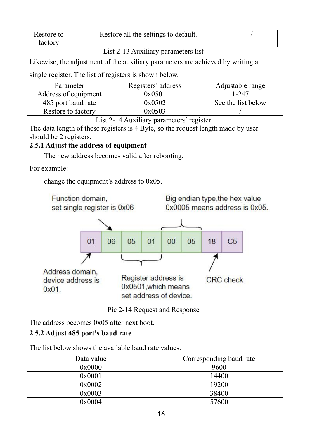| Restore to | Restore all the settings to default. |  |
|------------|--------------------------------------|--|
| factory    |                                      |  |

#### List 2-13 Auxiliary parameters list

Likewise, the adjustment of the auxiliary parameters are achieved by writing a

single register. The list of registers is shown below.

| Parameter            | Registers' address | Adjustable range   |
|----------------------|--------------------|--------------------|
| Address of equipment | 0x0501             | $-247$             |
| 485 port baud rate   | 0x0502             | See the list below |
| Restore to factory   | 0x0503             |                    |

List 2-14 Auxiliary parameters' register

The data length of these registers is 4 Byte, so the request length made by user should be 2 registers.

# <span id="page-17-0"></span>**2.5.1 Adjust the address ofequipment**

The new address becomes valid after rebooting.

For example:

change the equipment's address to 0x05.



Pic 2-14 Request and Response

The address becomes 0x05 after next boot.

# <span id="page-17-1"></span>**2.5.2 Adjust 485 port's baud rate**

The list below shows the available baud rate values.

| Data value | Corresponding baud rate |
|------------|-------------------------|
| 0x0000     | 9600                    |
| 0x0001     | 14400                   |
| 0x0002     | 19200                   |
| 0x0003     | 38400                   |
| 0x0004     | 57600                   |